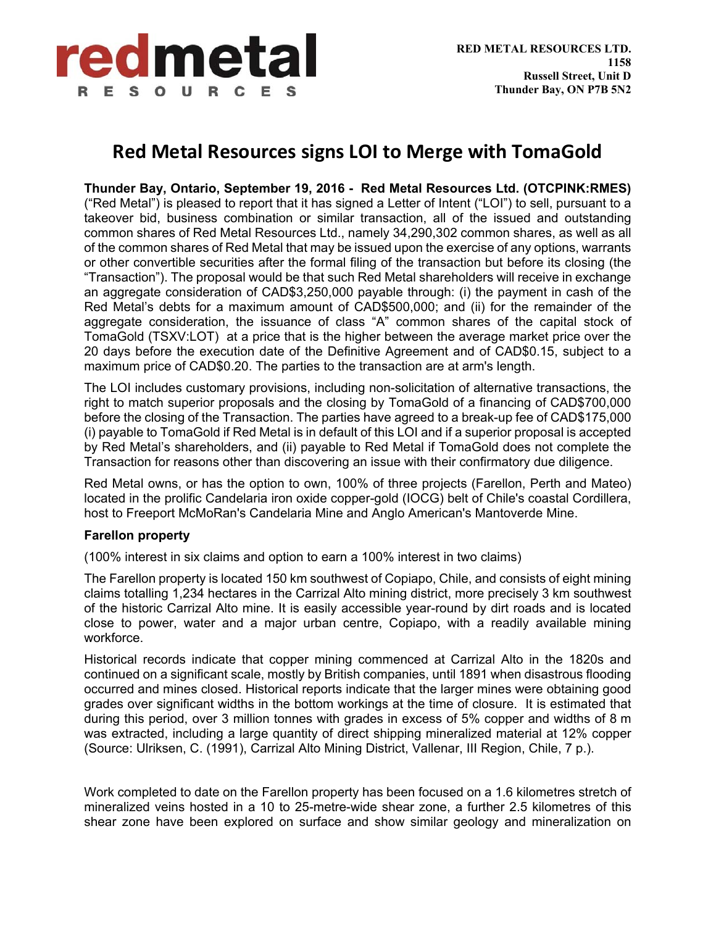

# **Red Metal Resources signs LOI to Merge with TomaGold**

**Thunder Bay, Ontario, September 19, 2016 - Red Metal Resources Ltd. (OTCPINK:RMES)** ("Red Metal") is pleased to report that it has signed a Letter of Intent ("LOI") to sell, pursuant to a takeover bid, business combination or similar transaction, all of the issued and outstanding common shares of Red Metal Resources Ltd., namely 34,290,302 common shares, as well as all of the common shares of Red Metal that may be issued upon the exercise of any options, warrants or other convertible securities after the formal filing of the transaction but before its closing (the "Transaction"). The proposal would be that such Red Metal shareholders will receive in exchange an aggregate consideration of CAD\$3,250,000 payable through: (i) the payment in cash of the Red Metal's debts for a maximum amount of CAD\$500,000; and (ii) for the remainder of the aggregate consideration, the issuance of class "A" common shares of the capital stock of TomaGold (TSXV:LOT) at a price that is the higher between the average market price over the 20 days before the execution date of the Definitive Agreement and of CAD\$0.15, subject to a maximum price of CAD\$0.20. The parties to the transaction are at arm's length.

The LOI includes customary provisions, including non-solicitation of alternative transactions, the right to match superior proposals and the closing by TomaGold of a financing of CAD\$700,000 before the closing of the Transaction. The parties have agreed to a break-up fee of CAD\$175,000 (i) payable to TomaGold if Red Metal is in default of this LOI and if a superior proposal is accepted by Red Metal's shareholders, and (ii) payable to Red Metal if TomaGold does not complete the Transaction for reasons other than discovering an issue with their confirmatory due diligence.

Red Metal owns, or has the option to own, 100% of three projects (Farellon, Perth and Mateo) located in the prolific Candelaria iron oxide copper-gold (IOCG) belt of Chile's coastal Cordillera, host to Freeport McMoRan's Candelaria Mine and Anglo American's Mantoverde Mine.

## **Farellon property**

(100% interest in six claims and option to earn a 100% interest in two claims)

The Farellon property is located 150 km southwest of Copiapo, Chile, and consists of eight mining claims totalling 1,234 hectares in the Carrizal Alto mining district, more precisely 3 km southwest of the historic Carrizal Alto mine. It is easily accessible year-round by dirt roads and is located close to power, water and a major urban centre, Copiapo, with a readily available mining workforce.

Historical records indicate that copper mining commenced at Carrizal Alto in the 1820s and continued on a significant scale, mostly by British companies, until 1891 when disastrous flooding occurred and mines closed. Historical reports indicate that the larger mines were obtaining good grades over significant widths in the bottom workings at the time of closure. It is estimated that during this period, over 3 million tonnes with grades in excess of 5% copper and widths of 8 m was extracted, including a large quantity of direct shipping mineralized material at 12% copper (Source: Ulriksen, C. (1991), Carrizal Alto Mining District, Vallenar, III Region, Chile, 7 p.).

Work completed to date on the Farellon property has been focused on a 1.6 kilometres stretch of mineralized veins hosted in a 10 to 25-metre-wide shear zone, a further 2.5 kilometres of this shear zone have been explored on surface and show similar geology and mineralization on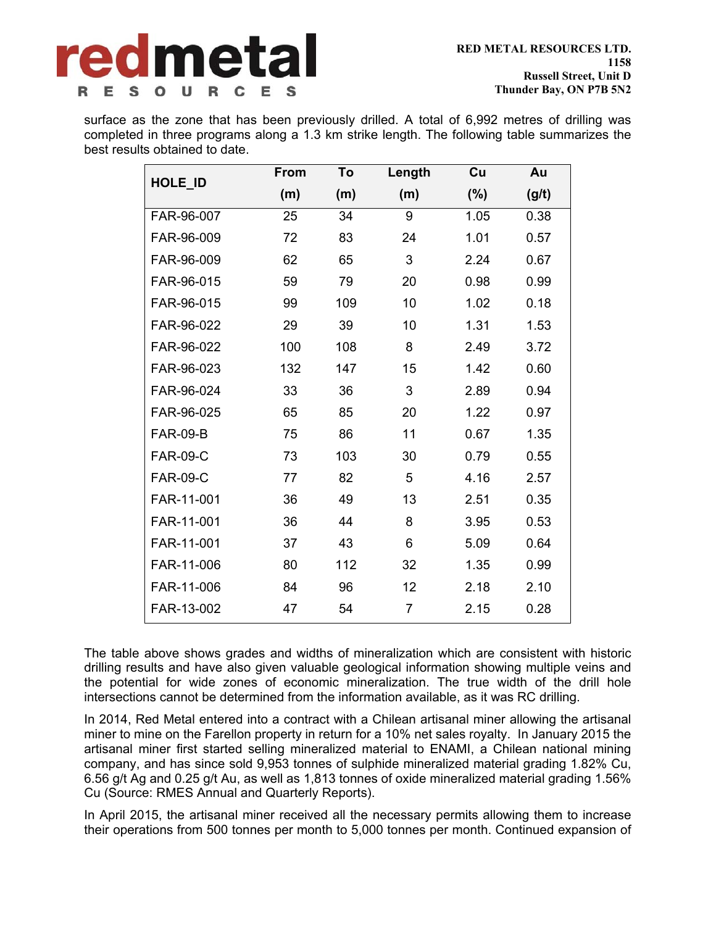

surface as the zone that has been previously drilled. A total of 6,992 metres of drilling was completed in three programs along a 1.3 km strike length. The following table summarizes the best results obtained to date.

| HOLE_ID         | From | To  | Length | Cu     | Au    |
|-----------------|------|-----|--------|--------|-------|
|                 | (m)  | (m) | (m)    | $(\%)$ | (g/t) |
| FAR-96-007      | 25   | 34  | 9      | 1.05   | 0.38  |
| FAR-96-009      | 72   | 83  | 24     | 1.01   | 0.57  |
| FAR-96-009      | 62   | 65  | 3      | 2.24   | 0.67  |
| FAR-96-015      | 59   | 79  | 20     | 0.98   | 0.99  |
| FAR-96-015      | 99   | 109 | 10     | 1.02   | 0.18  |
| FAR-96-022      | 29   | 39  | 10     | 1.31   | 1.53  |
| FAR-96-022      | 100  | 108 | 8      | 2.49   | 3.72  |
| FAR-96-023      | 132  | 147 | 15     | 1.42   | 0.60  |
| FAR-96-024      | 33   | 36  | 3      | 2.89   | 0.94  |
| FAR-96-025      | 65   | 85  | 20     | 1.22   | 0.97  |
| <b>FAR-09-B</b> | 75   | 86  | 11     | 0.67   | 1.35  |
| <b>FAR-09-C</b> | 73   | 103 | 30     | 0.79   | 0.55  |
| <b>FAR-09-C</b> | 77   | 82  | 5      | 4.16   | 2.57  |
| FAR-11-001      | 36   | 49  | 13     | 2.51   | 0.35  |
| FAR-11-001      | 36   | 44  | 8      | 3.95   | 0.53  |
| FAR-11-001      | 37   | 43  | 6      | 5.09   | 0.64  |
| FAR-11-006      | 80   | 112 | 32     | 1.35   | 0.99  |
| FAR-11-006      | 84   | 96  | 12     | 2.18   | 2.10  |
| FAR-13-002      | 47   | 54  | 7      | 2.15   | 0.28  |

The table above shows grades and widths of mineralization which are consistent with historic drilling results and have also given valuable geological information showing multiple veins and the potential for wide zones of economic mineralization. The true width of the drill hole intersections cannot be determined from the information available, as it was RC drilling.

In 2014, Red Metal entered into a contract with a Chilean artisanal miner allowing the artisanal miner to mine on the Farellon property in return for a 10% net sales royalty. In January 2015 the artisanal miner first started selling mineralized material to ENAMI, a Chilean national mining company, and has since sold 9,953 tonnes of sulphide mineralized material grading 1.82% Cu, 6.56 g/t Ag and 0.25 g/t Au, as well as 1,813 tonnes of oxide mineralized material grading 1.56% Cu (Source: RMES Annual and Quarterly Reports).

In April 2015, the artisanal miner received all the necessary permits allowing them to increase their operations from 500 tonnes per month to 5,000 tonnes per month. Continued expansion of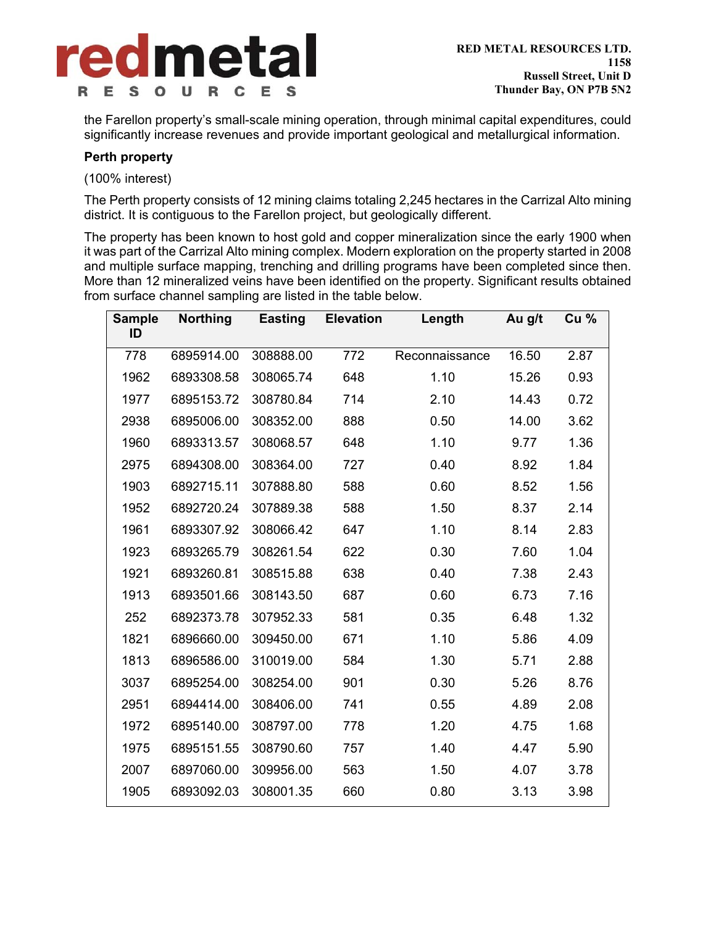

the Farellon property's small-scale mining operation, through minimal capital expenditures, could significantly increase revenues and provide important geological and metallurgical information.

### **Perth property**

(100% interest)

The Perth property consists of 12 mining claims totaling 2,245 hectares in the Carrizal Alto mining district. It is contiguous to the Farellon project, but geologically different.

The property has been known to host gold and copper mineralization since the early 1900 when it was part of the Carrizal Alto mining complex. Modern exploration on the property started in 2008 and multiple surface mapping, trenching and drilling programs have been completed since then. More than 12 mineralized veins have been identified on the property. Significant results obtained from surface channel sampling are listed in the table below.

| <b>Sample</b><br>ID | <b>Northing</b> | <b>Easting</b> | <b>Elevation</b> | Length         | Au g/t | Cu <sub>96</sub> |
|---------------------|-----------------|----------------|------------------|----------------|--------|------------------|
|                     |                 |                |                  |                |        |                  |
| 778                 | 6895914.00      | 308888.00      | 772              | Reconnaissance | 16.50  | 2.87             |
| 1962                | 6893308.58      | 308065.74      | 648              | 1.10           | 15.26  | 0.93             |
| 1977                | 6895153.72      | 308780.84      | 714              | 2.10           | 14.43  | 0.72             |
| 2938                | 6895006.00      | 308352.00      | 888              | 0.50           | 14.00  | 3.62             |
| 1960                | 6893313.57      | 308068.57      | 648              | 1.10           | 9.77   | 1.36             |
| 2975                | 6894308.00      | 308364.00      | 727              | 0.40           | 8.92   | 1.84             |
| 1903                | 6892715.11      | 307888.80      | 588              | 0.60           | 8.52   | 1.56             |
| 1952                | 6892720.24      | 307889.38      | 588              | 1.50           | 8.37   | 2.14             |
| 1961                | 6893307.92      | 308066.42      | 647              | 1.10           | 8.14   | 2.83             |
| 1923                | 6893265.79      | 308261.54      | 622              | 0.30           | 7.60   | 1.04             |
| 1921                | 6893260.81      | 308515.88      | 638              | 0.40           | 7.38   | 2.43             |
| 1913                | 6893501.66      | 308143.50      | 687              | 0.60           | 6.73   | 7.16             |
| 252                 | 6892373.78      | 307952.33      | 581              | 0.35           | 6.48   | 1.32             |
| 1821                | 6896660.00      | 309450.00      | 671              | 1.10           | 5.86   | 4.09             |
| 1813                | 6896586.00      | 310019.00      | 584              | 1.30           | 5.71   | 2.88             |
| 3037                | 6895254.00      | 308254.00      | 901              | 0.30           | 5.26   | 8.76             |
| 2951                | 6894414.00      | 308406.00      | 741              | 0.55           | 4.89   | 2.08             |
| 1972                | 6895140.00      | 308797.00      | 778              | 1.20           | 4.75   | 1.68             |
| 1975                | 6895151.55      | 308790.60      | 757              | 1.40           | 4.47   | 5.90             |
| 2007                | 6897060.00      | 309956.00      | 563              | 1.50           | 4.07   | 3.78             |
| 1905                | 6893092.03      | 308001.35      | 660              | 0.80           | 3.13   | 3.98             |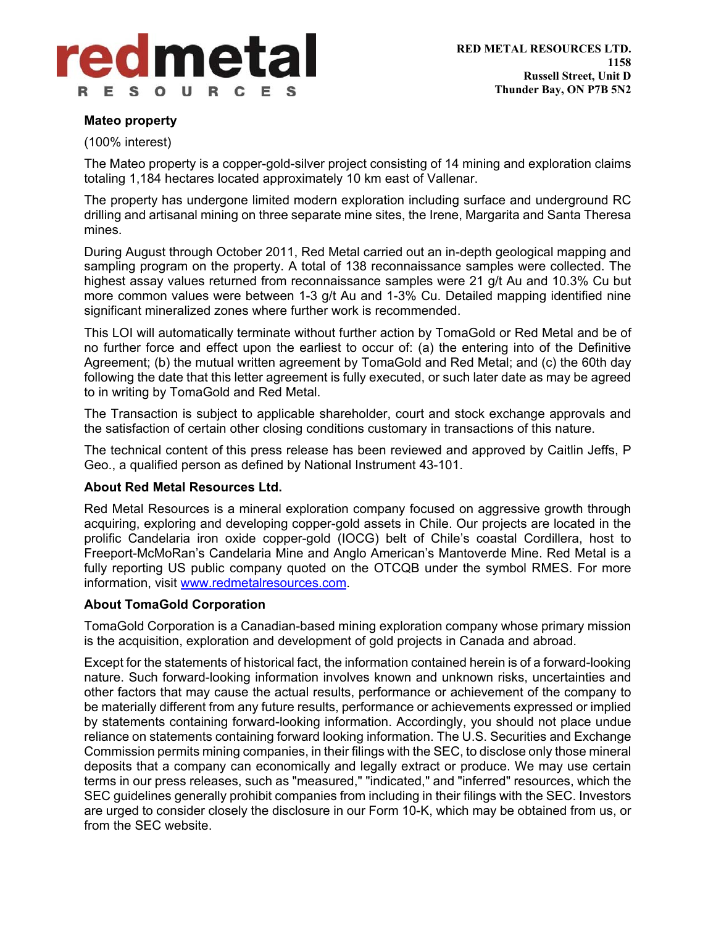

### **Mateo property**

(100% interest)

The Mateo property is a copper-gold-silver project consisting of 14 mining and exploration claims totaling 1,184 hectares located approximately 10 km east of Vallenar.

The property has undergone limited modern exploration including surface and underground RC drilling and artisanal mining on three separate mine sites, the Irene, Margarita and Santa Theresa mines.

During August through October 2011, Red Metal carried out an in-depth geological mapping and sampling program on the property. A total of 138 reconnaissance samples were collected. The highest assay values returned from reconnaissance samples were 21 g/t Au and 10.3% Cu but more common values were between 1-3 g/t Au and 1-3% Cu. Detailed mapping identified nine significant mineralized zones where further work is recommended.

This LOI will automatically terminate without further action by TomaGold or Red Metal and be of no further force and effect upon the earliest to occur of: (a) the entering into of the Definitive Agreement; (b) the mutual written agreement by TomaGold and Red Metal; and (c) the 60th day following the date that this letter agreement is fully executed, or such later date as may be agreed to in writing by TomaGold and Red Metal.

The Transaction is subject to applicable shareholder, court and stock exchange approvals and the satisfaction of certain other closing conditions customary in transactions of this nature.

The technical content of this press release has been reviewed and approved by Caitlin Jeffs, P Geo., a qualified person as defined by National Instrument 43-101.

## **About Red Metal Resources Ltd.**

Red Metal Resources is a mineral exploration company focused on aggressive growth through acquiring, exploring and developing copper-gold assets in Chile. Our projects are located in the prolific Candelaria iron oxide copper-gold (IOCG) belt of Chile's coastal Cordillera, host to Freeport-McMoRan's Candelaria Mine and Anglo American's Mantoverde Mine. Red Metal is a fully reporting US public company quoted on the OTCQB under the symbol RMES. For more information, visit www.redmetalresources.com.

## **About TomaGold Corporation**

TomaGold Corporation is a Canadian-based mining exploration company whose primary mission is the acquisition, exploration and development of gold projects in Canada and abroad.

Except for the statements of historical fact, the information contained herein is of a forward-looking nature. Such forward-looking information involves known and unknown risks, uncertainties and other factors that may cause the actual results, performance or achievement of the company to be materially different from any future results, performance or achievements expressed or implied by statements containing forward-looking information. Accordingly, you should not place undue reliance on statements containing forward looking information. The U.S. Securities and Exchange Commission permits mining companies, in their filings with the SEC, to disclose only those mineral deposits that a company can economically and legally extract or produce. We may use certain terms in our press releases, such as "measured," "indicated," and "inferred" resources, which the SEC guidelines generally prohibit companies from including in their filings with the SEC. Investors are urged to consider closely the disclosure in our Form 10-K, which may be obtained from us, or from the SEC website.